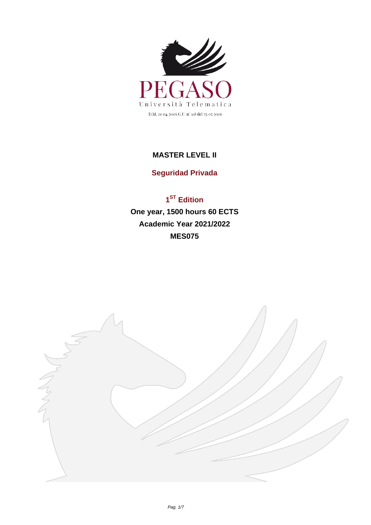

## **MASTER LEVEL II**

## **Seguridad Privada**

## **1 ST Edition One year, 1500 hours 60 ECTS Academic Year 2021/2022 MES075**

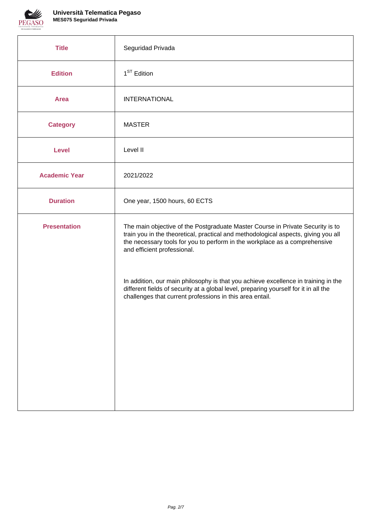

| <b>Title</b>         | Seguridad Privada                                                                                                                                                                                                                                                                 |
|----------------------|-----------------------------------------------------------------------------------------------------------------------------------------------------------------------------------------------------------------------------------------------------------------------------------|
| <b>Edition</b>       | 1 <sup>ST</sup> Edition                                                                                                                                                                                                                                                           |
| <b>Area</b>          | <b>INTERNATIONAL</b>                                                                                                                                                                                                                                                              |
| <b>Category</b>      | <b>MASTER</b>                                                                                                                                                                                                                                                                     |
| <b>Level</b>         | Level II                                                                                                                                                                                                                                                                          |
| <b>Academic Year</b> | 2021/2022                                                                                                                                                                                                                                                                         |
| <b>Duration</b>      | One year, 1500 hours, 60 ECTS                                                                                                                                                                                                                                                     |
| <b>Presentation</b>  | The main objective of the Postgraduate Master Course in Private Security is to<br>train you in the theoretical, practical and methodological aspects, giving you all<br>the necessary tools for you to perform in the workplace as a comprehensive<br>and efficient professional. |
|                      | In addition, our main philosophy is that you achieve excellence in training in the<br>different fields of security at a global level, preparing yourself for it in all the<br>challenges that current professions in this area entail.                                            |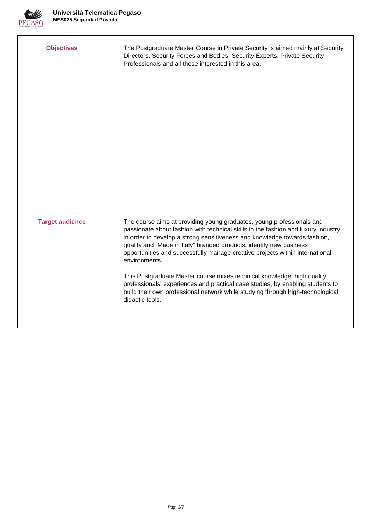

| <b>Objectives</b>      | The Postgraduate Master Course in Private Security is aimed mainly at Security<br>Directors, Security Forces and Bodies, Security Experts, Private Security<br>Professionals and all those interested in this area.                                                                                                                                                                                                                                                                                                                                                                                                                                                                |
|------------------------|------------------------------------------------------------------------------------------------------------------------------------------------------------------------------------------------------------------------------------------------------------------------------------------------------------------------------------------------------------------------------------------------------------------------------------------------------------------------------------------------------------------------------------------------------------------------------------------------------------------------------------------------------------------------------------|
| <b>Target audience</b> | The course aims at providing young graduates, young professionals and<br>passionate about fashion with technical skills in the fashion and luxury industry,<br>in order to develop a strong sensitiveness and knowledge towards fashion,<br>quality and "Made in Italy" branded products, identify new business<br>opportunities and successfully manage creative projects within international<br>environments.<br>This Postgraduate Master course mixes technical knowledge, high quality<br>professionals' experiences and practical case studies, by enabling students to<br>build their own professional network while studying through high-technological<br>didactic tools. |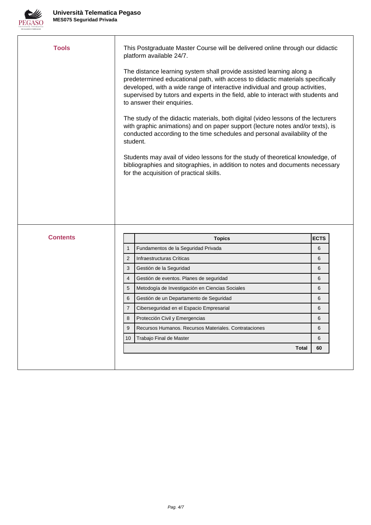

| <b>Tools</b>    |                | This Postgraduate Master Course will be delivered online through our didactic<br>platform available 24/7.                                                                                                                                                                                                                                                 |             |
|-----------------|----------------|-----------------------------------------------------------------------------------------------------------------------------------------------------------------------------------------------------------------------------------------------------------------------------------------------------------------------------------------------------------|-------------|
|                 |                | The distance learning system shall provide assisted learning along a<br>predetermined educational path, with access to didactic materials specifically<br>developed, with a wide range of interactive individual and group activities,<br>supervised by tutors and experts in the field, able to interact with students and<br>to answer their enquiries. |             |
|                 | student.       | The study of the didactic materials, both digital (video lessons of the lecturers<br>with graphic animations) and on paper support (lecture notes and/or texts), is<br>conducted according to the time schedules and personal availability of the                                                                                                         |             |
|                 |                | Students may avail of video lessons for the study of theoretical knowledge, of<br>bibliographies and sitographies, in addition to notes and documents necessary<br>for the acquisition of practical skills.                                                                                                                                               |             |
|                 |                |                                                                                                                                                                                                                                                                                                                                                           |             |
|                 |                |                                                                                                                                                                                                                                                                                                                                                           |             |
| <b>Contents</b> |                |                                                                                                                                                                                                                                                                                                                                                           | <b>ECTS</b> |
|                 | $\mathbf{1}$   | <b>Topics</b><br>Fundamentos de la Seguridad Privada                                                                                                                                                                                                                                                                                                      | 6           |
|                 | $\overline{2}$ | Infraestructuras Críticas                                                                                                                                                                                                                                                                                                                                 | 6           |
|                 | 3              | Gestión de la Seguridad                                                                                                                                                                                                                                                                                                                                   |             |
|                 |                |                                                                                                                                                                                                                                                                                                                                                           | 6           |
|                 | $\overline{4}$ |                                                                                                                                                                                                                                                                                                                                                           | 6           |
|                 | 5              | Gestión de eventos. Planes de seguridad<br>Metodogía de Investigación en Ciencias Sociales                                                                                                                                                                                                                                                                | 6           |
|                 | 6              | Gestión de un Departamento de Seguridad                                                                                                                                                                                                                                                                                                                   | 6           |
|                 | $\overline{7}$ | Ciberseguridad en el Espacio Empresarial                                                                                                                                                                                                                                                                                                                  | 6           |
|                 | 8              | Protección Civil y Emergencias                                                                                                                                                                                                                                                                                                                            | 6           |
|                 | 9              | Recursos Humanos. Recursos Materiales. Contrataciones                                                                                                                                                                                                                                                                                                     | 6           |
|                 | 10             | Trabajo Final de Master                                                                                                                                                                                                                                                                                                                                   | 6           |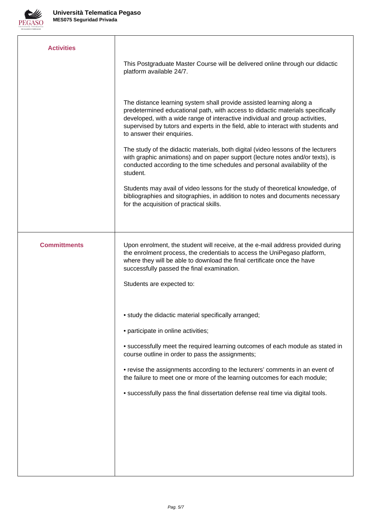

| <b>Activities</b>   | This Postgraduate Master Course will be delivered online through our didactic<br>platform available 24/7.                                                                                                                                                                                                                                                                                                                                                                                                                                                                                                                                                                                                                                                                                                                                 |
|---------------------|-------------------------------------------------------------------------------------------------------------------------------------------------------------------------------------------------------------------------------------------------------------------------------------------------------------------------------------------------------------------------------------------------------------------------------------------------------------------------------------------------------------------------------------------------------------------------------------------------------------------------------------------------------------------------------------------------------------------------------------------------------------------------------------------------------------------------------------------|
|                     | The distance learning system shall provide assisted learning along a<br>predetermined educational path, with access to didactic materials specifically<br>developed, with a wide range of interactive individual and group activities,<br>supervised by tutors and experts in the field, able to interact with students and<br>to answer their enquiries.<br>The study of the didactic materials, both digital (video lessons of the lecturers<br>with graphic animations) and on paper support (lecture notes and/or texts), is<br>conducted according to the time schedules and personal availability of the<br>student.<br>Students may avail of video lessons for the study of theoretical knowledge, of<br>bibliographies and sitographies, in addition to notes and documents necessary<br>for the acquisition of practical skills. |
| <b>Committments</b> | Upon enrolment, the student will receive, at the e-mail address provided during<br>the enrolment process, the credentials to access the UniPegaso platform,<br>where they will be able to download the final certificate once the have<br>successfully passed the final examination.<br>Students are expected to:                                                                                                                                                                                                                                                                                                                                                                                                                                                                                                                         |
|                     | • study the didactic material specifically arranged;<br>• participate in online activities;<br>• successfully meet the required learning outcomes of each module as stated in<br>course outline in order to pass the assignments;<br>• revise the assignments according to the lecturers' comments in an event of<br>the failure to meet one or more of the learning outcomes for each module;<br>• successfully pass the final dissertation defense real time via digital tools.                                                                                                                                                                                                                                                                                                                                                         |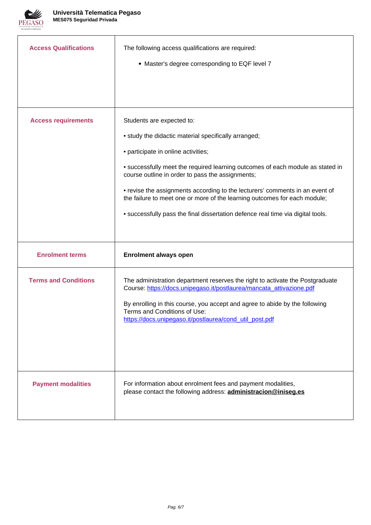

| <b>Access Qualifications</b> | The following access qualifications are required:<br>• Master's degree corresponding to EQF level 7                                                                                                                                                                                                                                                                                                                                                                                                            |
|------------------------------|----------------------------------------------------------------------------------------------------------------------------------------------------------------------------------------------------------------------------------------------------------------------------------------------------------------------------------------------------------------------------------------------------------------------------------------------------------------------------------------------------------------|
| <b>Access requirements</b>   | Students are expected to:<br>• study the didactic material specifically arranged;<br>• participate in online activities;<br>• successfully meet the required learning outcomes of each module as stated in<br>course outline in order to pass the assignments;<br>• revise the assignments according to the lecturers' comments in an event of<br>the failure to meet one or more of the learning outcomes for each module;<br>• successfully pass the final dissertation defence real time via digital tools. |
| <b>Enrolment terms</b>       | <b>Enrolment always open</b>                                                                                                                                                                                                                                                                                                                                                                                                                                                                                   |
| <b>Terms and Conditions</b>  | The administration department reserves the right to activate the Postgraduate<br>Course: https://docs.unipegaso.it/postlaurea/mancata_attivazione.pdf<br>By enrolling in this course, you accept and agree to abide by the following<br>Terms and Conditions of Use:<br>https://docs.unipegaso.it/postlaurea/cond_util_post.pdf                                                                                                                                                                                |
| <b>Payment modalities</b>    | For information about enrolment fees and payment modalities,<br>please contact the following address: <b>administracion@iniseg.es</b>                                                                                                                                                                                                                                                                                                                                                                          |